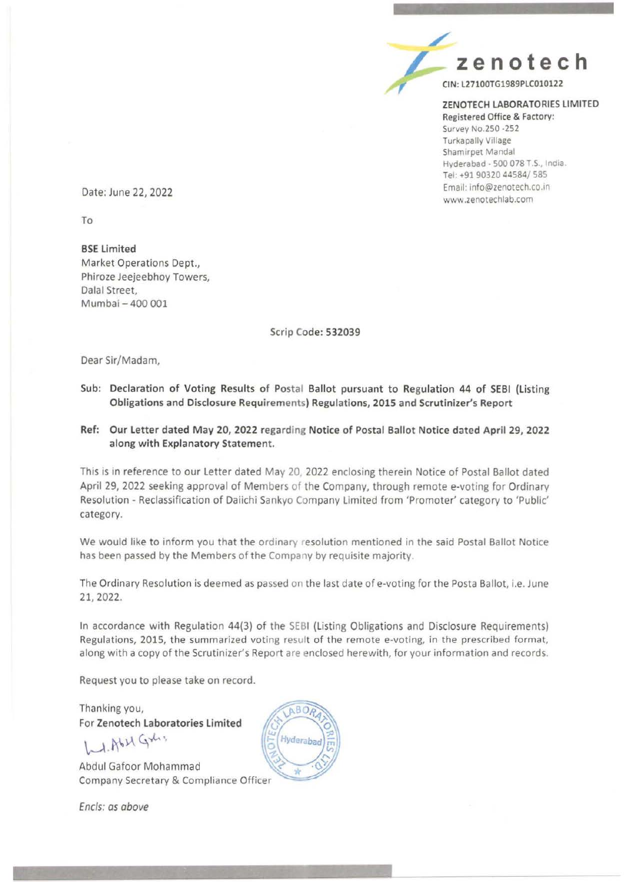

### ZENOTECH LABORATORIES LIMITED Registered Office & Factory:

Survey No.250 -252 Turkapally Village Shamirpet Mandal Hyderabad - 500 078 T.S., India. Tel: +91 90320 44584/585 Email: info@zenotech.co.in www .zenotechlab.com

Date: June 22, 2022

To

BSE Limited Market Operations Dept., Phiroze Jeejeebhoy Towers, Dalal Street, Mumbai- 400 001

Scrip Code: 532039

Dear Sir/Madam,

- Sub: Declaration of Voting Results of Postal Ballot pursuant to Regulation 44 of SEBI {listing Obligations and Disclosure Requirements) Regulations, 2015 and Scrutinizer's Report
- Ref: Our letter dated May 20, 2022 regarding Notice of Postal Ballot Notice dated April 29, 2022 along with Explanatory Statement.

This is in reference to our Letter dated May 20, 2022 enclosing therein Notice of Postal Ballot dated April 29, 2022 seeking approval of Members of the Company, through remote e-voting for Ordinary Resolution - Reclassification of Daiichi Sankyo Company Limited from 'Promoter' category to 'Public' category.

We would like to inform you that the ordinary resolution mentioned in the said Postal Ballot Notice has been passed by the Members of the Company by requisite majority.

The Ordinary Resolution is deemed as passed on the last date of e-voting for the Posta Ballot, i.e. June 21, 2022.

In accordance with Regulation 44{3) of the SEBI {Listing Obligations and Disclosure Requirements) Regulations, 2015, the summarized voting result of the remote e-voting, in the prescribed format, along with a copy of the Scrutinizer's Report are enclosed herewith, for your information and records.

Request you to please take on record.

Thanking you, For Zenotech Laboratories limited

 $L1.0621.941$ 

Abdul Gafoor Mohammad Company Secretary & Compliance Officer

ABOA Hyderaba

Encls: as above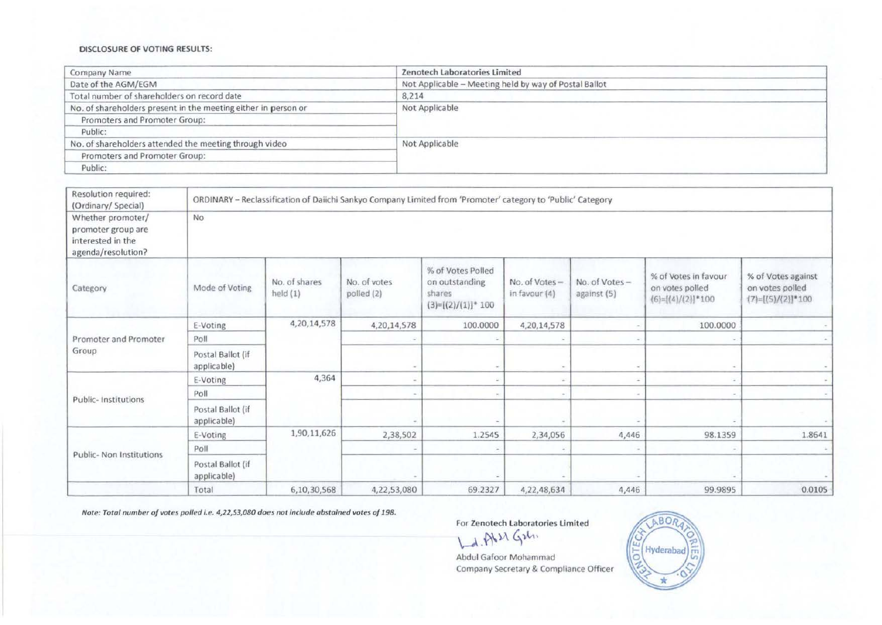#### DISCLOSURE OF VOTING RESULTS:

| Company Name                                                   | Zenotech Laboratories Limited                         |  |
|----------------------------------------------------------------|-------------------------------------------------------|--|
| Date of the AGM/EGM                                            | Not Applicable - Meeting held by way of Postal Ballot |  |
| Total number of shareholders on record date                    | 8,214                                                 |  |
| No. of shareholders present in the meeting either in person or | Not Applicable                                        |  |
| Promoters and Promoter Group:                                  |                                                       |  |
| Public:                                                        |                                                       |  |
| No. of shareholders attended the meeting through video         | Not Applicable                                        |  |
| Promoters and Promoter Group:                                  |                                                       |  |
| Public:                                                        |                                                       |  |

| Resolution required:<br>(Ordinary/ Special)                                        | ORDINARY - Reclassification of Daiichi Sankyo Company Limited from 'Promoter' category to 'Public' Category |                             |                            |                                                                         |                                |                              |                                                                |                                                                |
|------------------------------------------------------------------------------------|-------------------------------------------------------------------------------------------------------------|-----------------------------|----------------------------|-------------------------------------------------------------------------|--------------------------------|------------------------------|----------------------------------------------------------------|----------------------------------------------------------------|
| Whether promoter/<br>promoter group are<br>interested in the<br>agenda/resolution? | No                                                                                                          |                             |                            |                                                                         |                                |                              |                                                                |                                                                |
| Category                                                                           | Mode of Voting                                                                                              | No. of shares<br>held $(1)$ | No. of votes<br>polled (2) | % of Votes Polled<br>on outstanding<br>shares<br>$(3)=[(2)/(1)]^{*}100$ | No. of Votes-<br>in favour (4) | No. of Votes-<br>against (5) | % of Votes in favour<br>on votes polled<br>$(6)=[(4)/(2)]*100$ | % of Votes against<br>on votes polled<br>$(7)=[(5)/(2)]$ * 100 |
|                                                                                    | E-Voting                                                                                                    | 4,20,14,578                 | 4,20,14,578                | 100.0000                                                                | 4,20,14,578                    |                              | 100.0000                                                       |                                                                |
| Promoter and Promoter<br>Group                                                     | Poll                                                                                                        |                             |                            |                                                                         |                                |                              |                                                                |                                                                |
|                                                                                    | Postal Ballot (if<br>applicable)                                                                            |                             |                            |                                                                         | $\sim$                         |                              |                                                                |                                                                |
|                                                                                    | E-Voting                                                                                                    | 4,364<br>Poll               |                            |                                                                         | $\sim$                         |                              |                                                                |                                                                |
| Public- Institutions                                                               |                                                                                                             |                             |                            |                                                                         | $\sim$                         |                              |                                                                |                                                                |
| Postal Ballot (if<br>applicable)                                                   |                                                                                                             |                             |                            |                                                                         |                                |                              |                                                                |                                                                |
|                                                                                    | E-Voting                                                                                                    | 1,90,11,626                 | 2,38,502                   | 1.2545                                                                  | 2,34,056                       | 4,446                        | 98.1359                                                        | 1.8641                                                         |
| Public- Non Institutions                                                           | Poll                                                                                                        |                             |                            |                                                                         |                                |                              |                                                                |                                                                |
|                                                                                    | Postal Ballot (if<br>applicable)                                                                            |                             |                            |                                                                         |                                |                              |                                                                |                                                                |
|                                                                                    | Total                                                                                                       | 6,10,30,568                 | 4,22,53,080                | 69.2327                                                                 | 4,22,48,634                    | 4,446                        | 99.9895                                                        | 0.0105                                                         |

Note: Total number of votes polled i.e. 4,22,53,080 does not include abstained votes of 198.

For Zenotech Laboratories Limited

Ld. Ab 21 G26.

Abdul Gafoor Mohammad Company Secretary & Compliance Officer

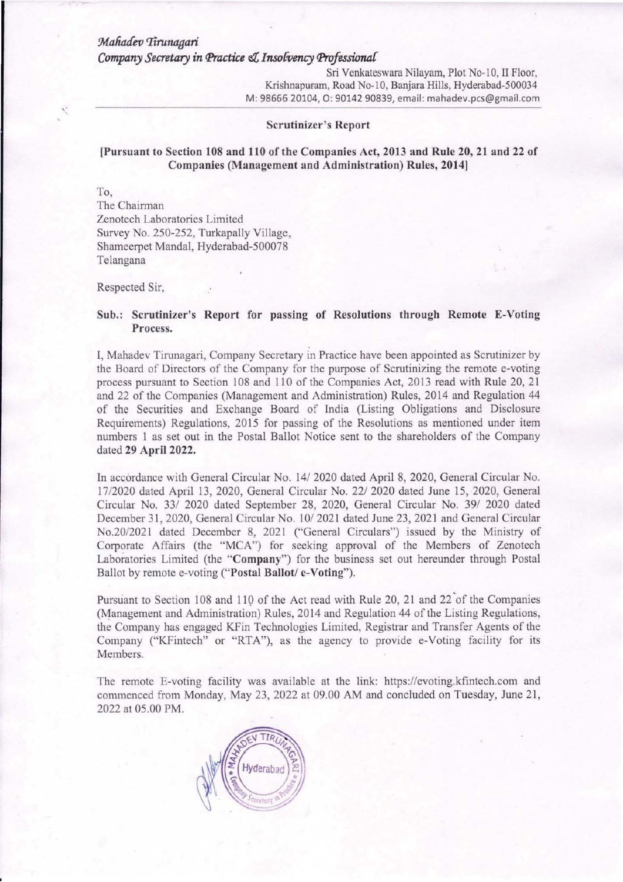## *9da1Uufev 'lirunagari Company Secretary in (['ractice* eZ *Inso[vency (['rojessionaC*

Sri Venkateswara Nilayam, Plot No-10, II Floor, Krishnapuram, Road No-10, Banjara Hills, Hyderabad-500034 M: 98666 20104, 0: *90142* 90839, email: mahadev.pcs@gmail.com

#### Scrutinizer's Report

## !Pursuant to Section 108 and 110 of the Companies Act, 2013 and Rule 20, 21 and 22 of Companies (Management and Administration) Rules, 2014]

To,

The Chairman Zenotech Laboratories Limited Survey No. 250-252, Turkapally Village, Shameerpel Mandai, Hyderabad-500078 Telangana

Respected Sir,

### Sub.: Scrutinizer's Report for passing of Resolutions through Remote E-Voting Process.

I, Mahadev Tinmagari, Company Secretary in Practice have been appointed as Scrutinizer by the Board of Directors of the Company for the purpose of Scrutinizing the remote e-voting process pursuant to Section 108 and 110 of the Companies Act, 2013 read with Rule 20, 21 and 22 of the Companies (Management and Administration) Rules, 2014 and Regulation 44 of the Securities and Exchange Board of India (Listing Obligations and Disclosure Requirements) Regulations, 2015 for passing of the Resolutions as mentioned under item numbers 1 as set out in the Postal Ballot Notice sent to the shareholders of the Company dated 29 April 2022.

In accordance with General Circular No. 14/ 2020 dated April 8, 2020, General Circular No. 17/2020 dated April 13, 2020, General Circular No. 22/ 2020 dated June 15, 2020, General Circular No. 33/ 2020 dated September 28, 2020, General Circular No. 39/ 2020 dated December 31, 2020, General Circular No. 10/2021 dated June 23, 2021 and General Circular No.20/2021 dated December 8, 2021 ("General Circulars") issued by the Ministry of Corporate Affairs (the "MCA") for seeking approval of the Members of Zenotech Laboratories Limited (the "Company") for the business set out hereunder through Postal Ballot by remote e-voting ("Postal Ballot/ e-Voting").

Pursuant to Section 108 and 110 of the Act read with Rule 20, 21 and 22 of the Companies (Management and Administration) Rules, 2014 and Regulation 44 of the Listing Regulations, the Company has engaged KFin Technologies Limited, Registrar and Transfer Agents of the Company ("KFintech" or "RTA"), as the agency to provide e-Voting facility for its Members.

The remote E-voting facility was available at the link: https://evoting.kfintech.com and commenced from Monday, May 23, 2022 at 09.00 AM and concluded on Tuesday, June 21, 2022 at 05.00 PM.

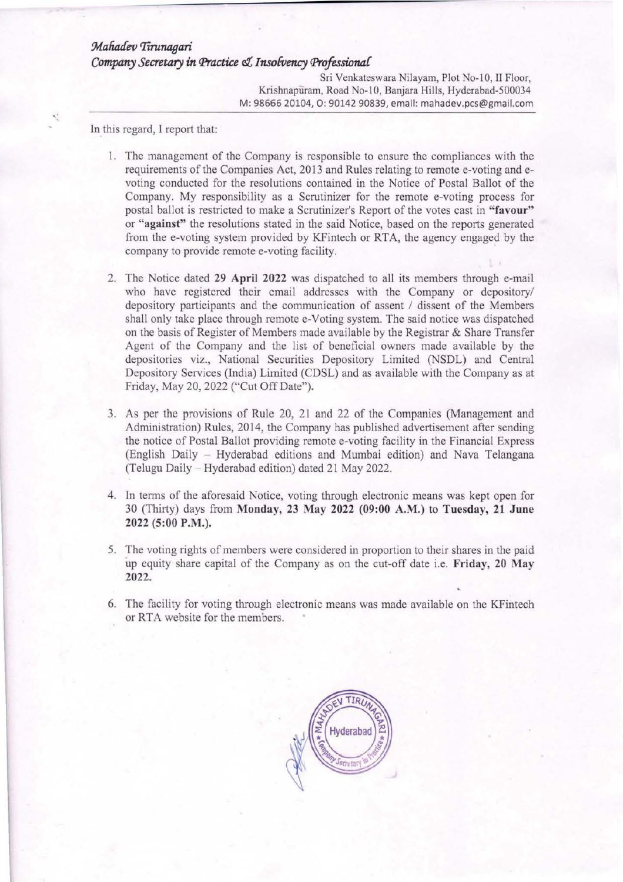# Mahadev Tirunagari *Company Secretary in Practice & Insolvency Professional*

Sri Venkateswara Nilayam, Plot No-10, II Floor, Krishnapuram, Road No-10, Banjara Hills, Hyderabad-500034 M: 98666 20104, 0: 90142 90839, email: mahadev.pcs@gmail.com

In this regard, I report that:

- I. The management of the Company is responsible to ensure the compliances with the requirements of the Companies Act, 2013 and Rules relating to remote e-voting and evoting conducted for the resolutions contained in the Notice of Postal Ballot of the Company. My responsibility as a Scrutinizer for the remote e-voting process for postal ballot is restricted to make a Scrutinizer's Report of the votes cast in "favour" or "against" the resolutions stated in the said Notice, based on the reports generated from the e-voting system provided by KFintech or RTA, the agency engaged by the company to provide remote e-voting facility.
- 2. The Notice dated 29 April 2022 was dispatched to all its members through e-mail who have registered their email addresses with the Company or depository/ depository participants and the communication of assent / dissent of the Members shall only take place through remote e-Voting system. The said notice was dispatched on the basis of Register of Members made available by the Registrar  $\&$  Share Transfer Agent of the Company and the list of beneficial owners made available by the depositories viz., National Securities Depository Limited (NSDL) and Central Depository Services (India) Limited (CDSL) and as available with the Company as at Friday, May 20, 2022 ("Cut Off Date").
- 3. As per the provisions of Rule 20, 21 and 22 of the Companies (Management andl Administration) Rules, 2014, the Company has published advertisement after sending the notice of Postal Ballot providing remote e-voting facility in the Financial Express (English Daily - Hyderabad editions and Mumbai edition) and Nava Telangana (Telugu Daily - Hyderabad edition) dated 21 May 2022.
- 4. ln terms of the aforesaid Notice, voting through electronic means was kept open for 30 (Thirty) days from Monday, 23 May 2022 (09:00 A.M.) to Tuesday, 21 June 2022 (5:00 P.M.).
- 5. The voting rights of members were considered in proportion to their shares in the paid up equity share capital of the Company as on the cut-off date i.e. Friday, 20 May 2022.
- 6. The facility for voting through electronic means was made available on the KFintech or RTA website for the members.

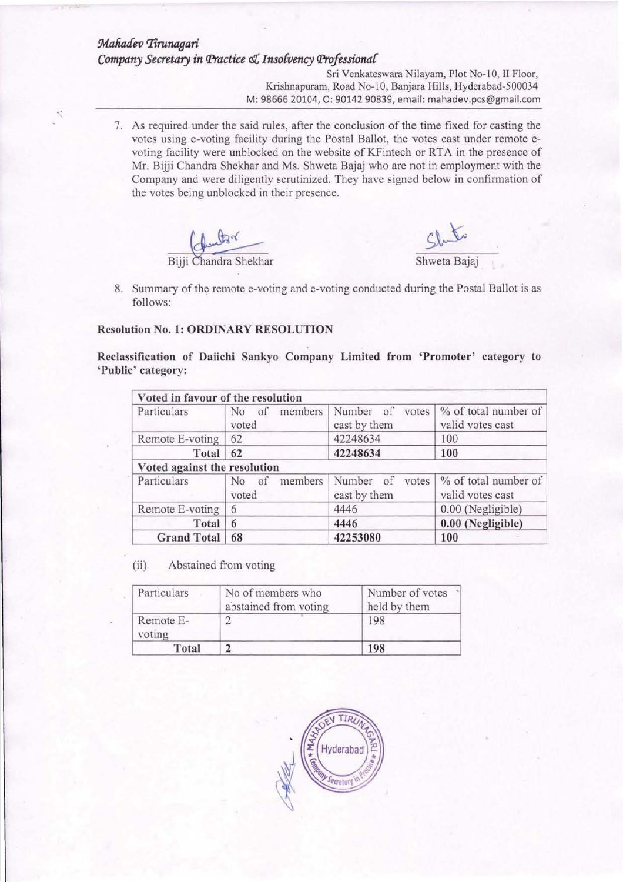# *9dafuufev rrirunagari Company Secretary in Practice* <1, *Inso{vency Professiona{*

Sri Venkateswara Nilayam, Plot No-10, II Floor, Krishnapuram, Road No-10, Banjara Hills, Hyderabad-500034 M: 98666 20104, 0: 90142 90839, email: mahadev.pcs@gmail.com

7. As required under the said rules, after the conclusion of the time fixed for casting the votes using e-voting facility during the Postal Ballot, the votes cast under remote evoting facility were unblocked on the website of KFintech or RTA in the presence of Mr. Bijji Chandra Shekhar and Ms. Shweta Bajaj who are not in employment with the Company and were diligently scrutinized. They have signed below in confinnation of the votes being unblocked in their presence.



R

 $Shw$ 

8. Summary of the remote e-voting and e-voting conducted during the Postal Ballot is as follows:

### Resolution No. 1: ORDINARY RESOLUTION

Reclassification of Daiichi Sankyo Company Limited from 'Promoter' category to 'Public' category:

| Voted in favour of the resolution |                                          |                                                  |                                          |  |
|-----------------------------------|------------------------------------------|--------------------------------------------------|------------------------------------------|--|
| Particulars                       | members<br>N <sub>0</sub><br>of<br>voted | Number<br>of<br>votes<br>cast by them            | % of total number of<br>valid votes cast |  |
| Remote E-voting                   | 62                                       | 42248634                                         | 100                                      |  |
| Total                             | 62                                       | 42248634                                         | 100                                      |  |
| Voted against the resolution      |                                          |                                                  |                                          |  |
| Particulars                       | members<br>N <sub>0</sub><br>of<br>voted | Number<br>votes<br><sub>of</sub><br>cast by them | % of total number of<br>valid votes cast |  |
| Remote E-voting                   | 6                                        | 4446                                             | 0.00 (Negligible)                        |  |
| Total                             | 6                                        | 4446                                             | 0.00 (Negligible)                        |  |
| <b>Grand Total</b>                | 68                                       | 42253080                                         | 100                                      |  |

(ii) Abstained from voting

| Particulars         | No of members who<br>abstained from voting | Number of votes<br>held by them |
|---------------------|--------------------------------------------|---------------------------------|
| Remote E-<br>voting | ∼.                                         | 198                             |
| Total               |                                            | 198                             |